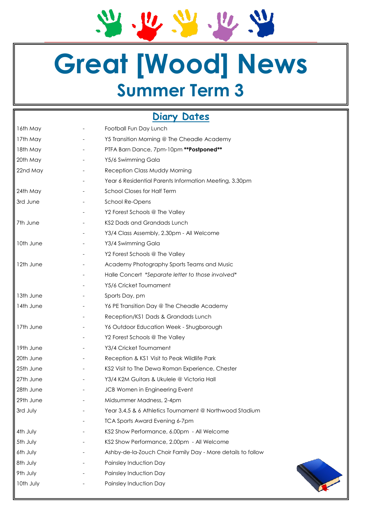21. 22. 22. 22. 22

# **Great [Wood] News Summer Term 3**

# **Diary Dates**

| 16th May  | Football Fun Day Lunch                                      |
|-----------|-------------------------------------------------------------|
| 17th May  | Y5 Transition Morning @ The Cheadle Academy                 |
| 18th May  | PTFA Barn Dance, 7pm-10pm ** Postponed**                    |
| 20th May  | Y5/6 Swimming Gala                                          |
| 22nd May  | Reception Class Muddy Morning                               |
|           | Year 6 Residential Parents Information Meeting, 3.30pm      |
| 24th May  | <b>School Closes for Half Term</b>                          |
| 3rd June  | School Re-Opens                                             |
|           | Y2 Forest Schools @ The Valley                              |
| 7th June  | KS2 Dads and Grandads Lunch                                 |
|           | Y3/4 Class Assembly, 2.30pm - All Welcome                   |
| 10th June | Y3/4 Swimming Gala                                          |
|           | Y2 Forest Schools @ The Valley                              |
| 12th June | Academy Photography Sports Teams and Music                  |
|           | Halle Concert *Separate letter to those involved*           |
|           | Y5/6 Cricket Tournament                                     |
| 13th June | Sports Day, pm                                              |
| 14th June | Y6 PE Transition Day @ The Cheadle Academy                  |
|           | Reception/KS1 Dads & Grandads Lunch                         |
| 17th June | Y6 Outdoor Education Week - Shugborough                     |
|           | Y2 Forest Schools @ The Valley                              |
| 19th June | Y3/4 Cricket Tournament                                     |
| 20th June | Reception & KS1 Visit to Peak Wildlife Park                 |
| 25th June | KS2 Visit to The Dewa Roman Experience, Chester             |
| 27th June | Y3/4 K2M Guitars & Ukulele @ Victoria Hall                  |
| 28th June | JCB Women in Engineering Event                              |
| 29th June | Midsummer Madness, 2-4pm                                    |
| 3rd July  | Year 3,4,5 & 6 Athletics Tournament @ Northwood Stadium     |
|           | <b>TCA Sports Award Evening 6-7pm</b>                       |
| 4th July  | KS2 Show Performance, 6.00pm - All Welcome                  |
| 5th July  | KS2 Show Performance, 2.00pm - All Welcome                  |
| 6th July  | Ashby-de-la-Zouch Choir Family Day - More details to follow |
| 8th July  | Painsley Induction Day                                      |
| 9th July  | Painsley Induction Day                                      |
| 10th July | Painsley Induction Day                                      |
|           |                                                             |